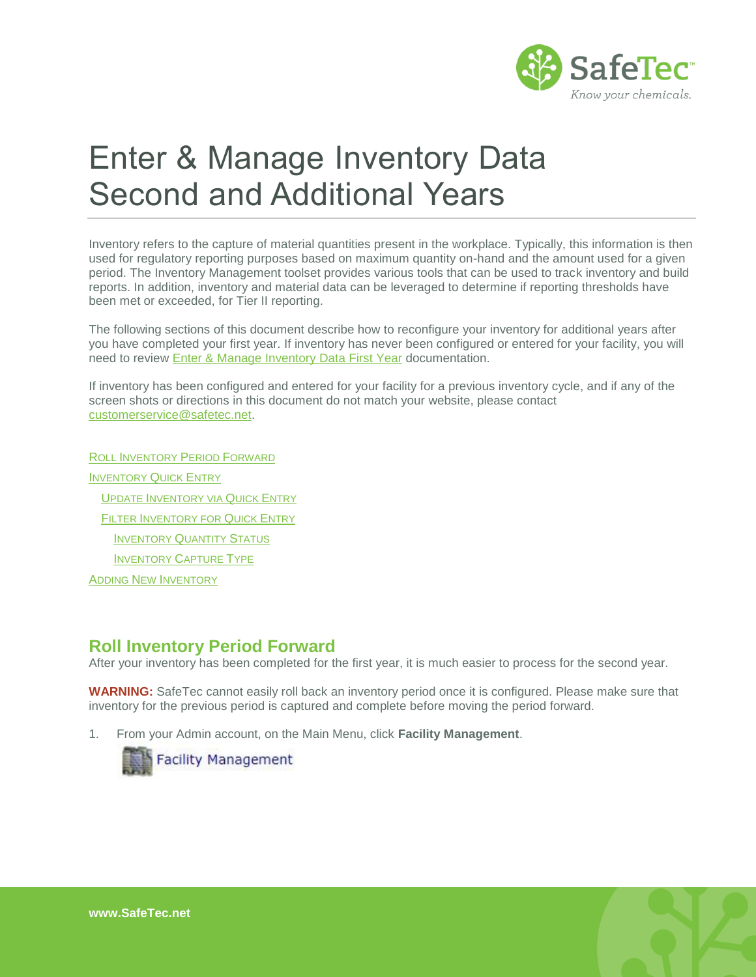

# Enter & Manage Inventory Data Second and Additional Years

Inventory refers to the capture of material quantities present in the workplace. Typically, this information is then used for regulatory reporting purposes based on maximum quantity on-hand and the amount used for a given period. The Inventory Management toolset provides various tools that can be used to track inventory and build reports. In addition, inventory and material data can be leveraged to determine if reporting thresholds have been met or exceeded, for Tier II reporting.

The following sections of this document describe how to reconfigure your inventory for additional years after you have completed your first year. If inventory has never been configured or entered for your facility, you will need to review [Enter & Manage Inventory Data First Year](http://www.safetec.net/wp-content/uploads/2014/08/help-inventory-managment-first-year.pdf) documentation.

If inventory has been configured and entered for your facility for a previous inventory cycle, and if any of the screen shots or directions in this document do not match your website, please contact [customerservice@safetec.net.](mailto:customerservice@safetec.net)

ROLL I[NVENTORY](#page-0-0) PERIOD FORWARD I[NVENTORY](#page-2-0) QUICK ENTRY UPDATE I[NVENTORY VIA](#page-3-0) QUICK ENTRY FILTER I[NVENTORY FOR](#page-3-1) QUICK ENTRY I[NVENTORY](#page-4-0) QUANTITY STATUS I[NVENTORY](#page-4-1) CAPTURE TYPE ADDING NEW I[NVENTORY](#page-4-2)

# <span id="page-0-0"></span>**Roll Inventory Period Forward**

After your inventory has been completed for the first year, it is much easier to process for the second year.

**WARNING:** SafeTec cannot easily roll back an inventory period once it is configured. Please make sure that inventory for the previous period is captured and complete before moving the period forward.

1. From your Admin account, on the Main Menu, click **Facility Management**.



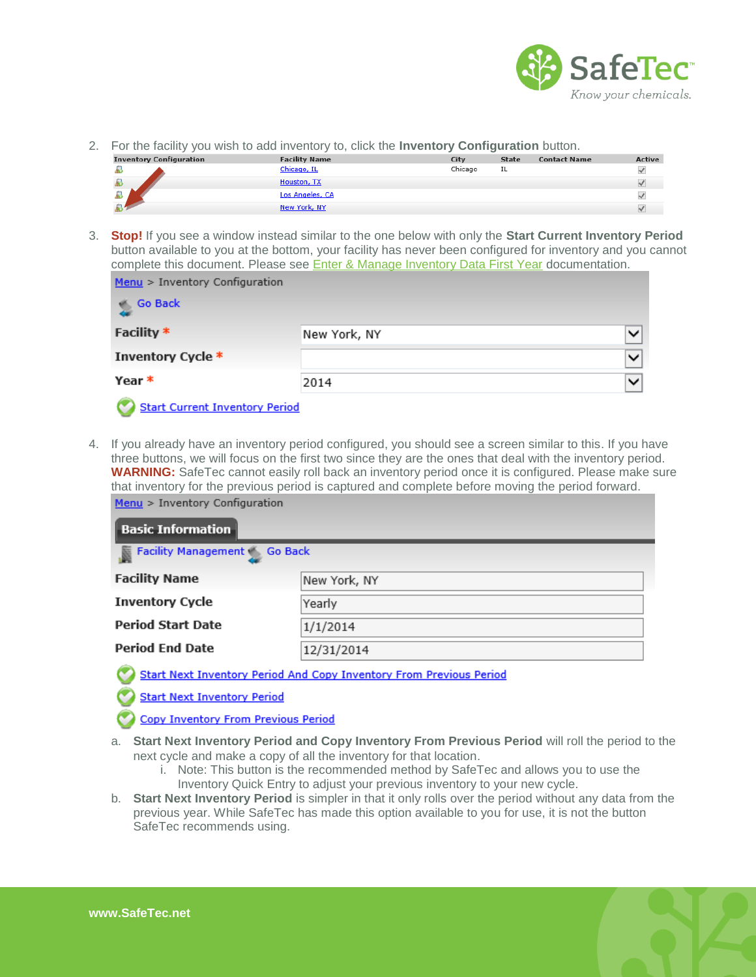

2. For the facility you wish to add inventory to, click the **Inventory Configuration** button.

|                                |                      | . .     |              |                     |               |
|--------------------------------|----------------------|---------|--------------|---------------------|---------------|
| <b>Inventory Configuration</b> | <b>Facility Name</b> | City    | <b>State</b> | <b>Contact Name</b> | <b>Active</b> |
|                                | Chicago, IL          | Chicago | IL           |                     | $\checkmark$  |
|                                | Houston, TX          |         |              |                     | v.            |
| $\frac{D}{D}$                  | Los Angeles, CA      |         |              |                     |               |
|                                | New York, NY         |         |              |                     |               |

3. **Stop!** If you see a window instead similar to the one below with only the **Start Current Inventory Period**  button available to you at the bottom, your facility has never been configured for inventory and you cannot complete this document. Please see [Enter & Manage Inventory Data First Year](http://www.safetec.net/wp-content/uploads/2014/08/help-inventory-managment-first-year.pdf) documentation.

| Menu > Inventory Configuration        |              |              |
|---------------------------------------|--------------|--------------|
| <b>Go Back</b>                        |              |              |
| Facility *                            | New York, NY | $\checkmark$ |
| Inventory Cycle *                     |              | $\checkmark$ |
| Year *                                | 2014         | $\checkmark$ |
| <b>Start Current Inventory Period</b> |              |              |

4. If you already have an inventory period configured, you should see a screen similar to this. If you have three buttons, we will focus on the first two since they are the ones that deal with the inventory period. **WARNING:** SafeTec cannot easily roll back an inventory period once it is configured. Please make sure that inventory for the previous period is captured and complete before moving the period forward. Menu > Inventory Configuration

| $\mid$ Basic Information $\mid$                |              |  |  |  |  |
|------------------------------------------------|--------------|--|--|--|--|
| <b>Example 2</b> Facility Management 6 Go Back |              |  |  |  |  |
| <b>Facility Name</b>                           | New York, NY |  |  |  |  |
| <b>Inventory Cycle</b>                         | Yearly       |  |  |  |  |
| <b>Period Start Date</b>                       | 1/1/2014     |  |  |  |  |
| <b>Period End Date</b>                         | 12/31/2014   |  |  |  |  |

Start Next Inventory Period And Copy Inventory From Previous Period

**Start Next Inventory Period** 

**Copy Inventory From Previous Period** 

- a. **Start Next Inventory Period and Copy Inventory From Previous Period** will roll the period to the next cycle and make a copy of all the inventory for that location.
	- i. Note: This button is the recommended method by SafeTec and allows you to use the Inventory Quick Entry to adjust your previous inventory to your new cycle.
- b. **Start Next Inventory Period** is simpler in that it only rolls over the period without any data from the previous year. While SafeTec has made this option available to you for use, it is not the button SafeTec recommends using.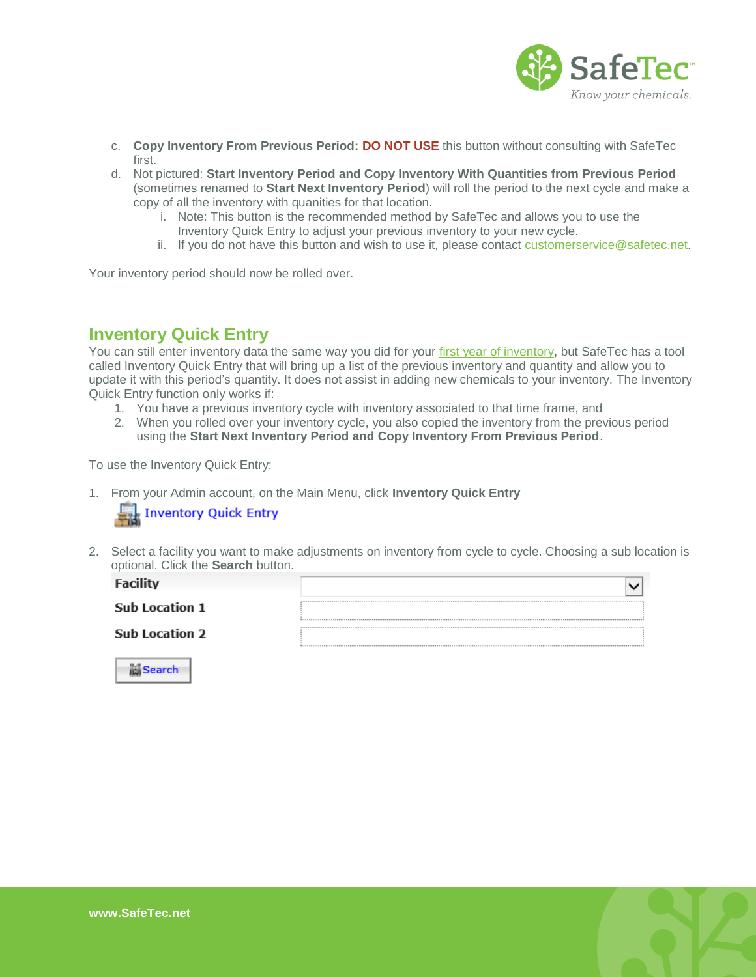

- c. **Copy Inventory From Previous Period: DO NOT USE** this button without consulting with SafeTec first.
- d. Not pictured: **Start Inventory Period and Copy Inventory With Quantities from Previous Period**  (sometimes renamed to **Start Next Inventory Period**) will roll the period to the next cycle and make a copy of all the inventory with quanities for that location.
	- i. Note: This button is the recommended method by SafeTec and allows you to use the Inventory Quick Entry to adjust your previous inventory to your new cycle.
	- ii. If you do not have this button and wish to use it, please contact [customerservice@safetec.net.](mailto:customerservice@safetec.net)

<span id="page-2-0"></span>Your inventory period should now be rolled over.

# **Inventory Quick Entry**

You can still enter inventory data the same way you did for your [first year of inventory,](http://www.safetec.net/wp-content/uploads/2014/08/help-inventory-managment-first-year.pdf) but SafeTec has a tool called Inventory Quick Entry that will bring up a list of the previous inventory and quantity and allow you to update it with this period's quantity. It does not assist in adding new chemicals to your inventory. The Inventory Quick Entry function only works if:

- 1. You have a previous inventory cycle with inventory associated to that time frame, and
- 2. When you rolled over your inventory cycle, you also copied the inventory from the previous period using the **Start Next Inventory Period and Copy Inventory From Previous Period**.

To use the Inventory Quick Entry:

1. From your Admin account, on the Main Menu, click **Inventory Quick Entry**

|  | Inventory Quick Entry |  |
|--|-----------------------|--|
|--|-----------------------|--|

2. Select a facility you want to make adjustments on inventory from cycle to cycle. Choosing a sub location is optional. Click the **Search** button.

| Facility              |  |
|-----------------------|--|
| <b>Sub Location 1</b> |  |
| <b>Sub Location 2</b> |  |
|                       |  |



**Search**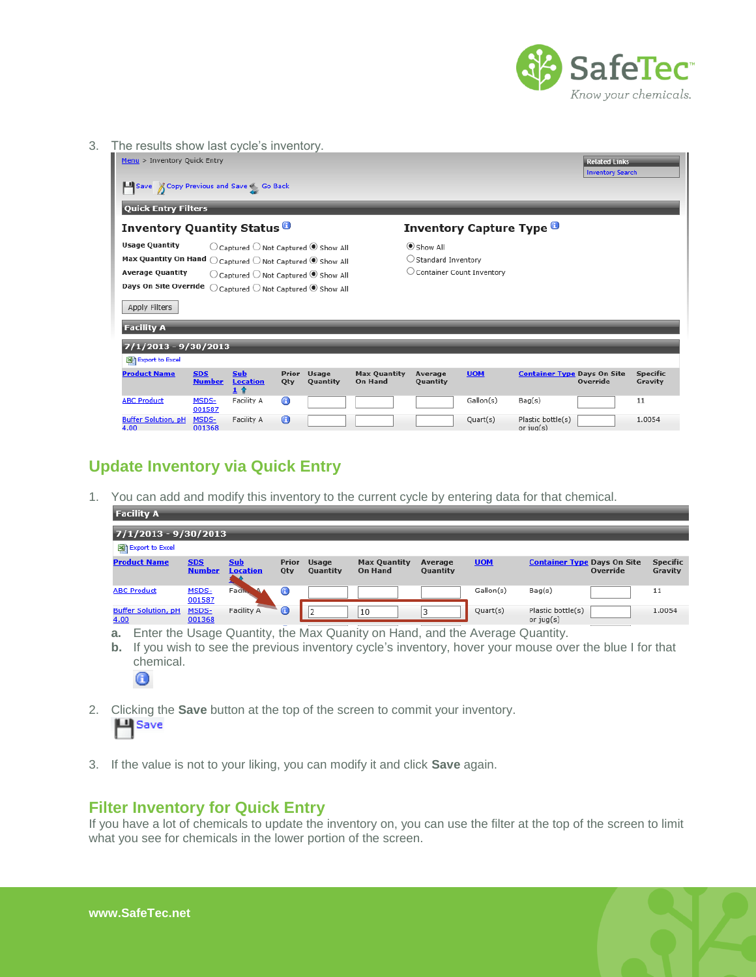

3. The results show last cycle's inventory.

| Menu > Inventory Quick Entry                                                                                                                                                                                                                                                                                                                                                              |                             |                                                 |                  |                           |                                       |                     |                                 |                                        | <b>Related Links</b><br><b>Inventory Search</b> |                            |
|-------------------------------------------------------------------------------------------------------------------------------------------------------------------------------------------------------------------------------------------------------------------------------------------------------------------------------------------------------------------------------------------|-----------------------------|-------------------------------------------------|------------------|---------------------------|---------------------------------------|---------------------|---------------------------------|----------------------------------------|-------------------------------------------------|----------------------------|
| Save & Copy Previous and Save S Go Back                                                                                                                                                                                                                                                                                                                                                   |                             |                                                 |                  |                           |                                       |                     |                                 |                                        |                                                 |                            |
| <b>Quick Entry Filters</b>                                                                                                                                                                                                                                                                                                                                                                |                             |                                                 |                  |                           |                                       |                     |                                 |                                        |                                                 |                            |
| <b>Inventory Quantity Status</b> <sup>O</sup>                                                                                                                                                                                                                                                                                                                                             |                             |                                                 |                  |                           |                                       |                     | <b>Inventory Capture Type O</b> |                                        |                                                 |                            |
| <b>Usage Quantity</b><br>Show All<br>$\bigcirc$ Captured $\bigcirc$ Not Captured $\bigcirc$ Show All<br>Max Quantity On Hand $\bigcirc$ Captured $\bigcirc$ Not Captured $\circledast$ Show All<br><b>Average Quantity</b><br>$\bigcirc$ Captured $\bigcirc$ Not Captured $\bigcirc$ Show All<br>Days On Site Override<br>$\bigcirc$ Captured $\bigcirc$ Not Captured $\bigcirc$ Show All |                             |                                                 |                  | $\cup$ Standard Inventory | $\cup$ Container Count Inventory      |                     |                                 |                                        |                                                 |                            |
| Apply Filters<br><b>Facility A</b>                                                                                                                                                                                                                                                                                                                                                        |                             |                                                 |                  |                           |                                       |                     |                                 |                                        |                                                 |                            |
| $7/1/2013 - 9/30/2013$<br>Export to Excel                                                                                                                                                                                                                                                                                                                                                 |                             |                                                 |                  |                           |                                       |                     |                                 |                                        |                                                 |                            |
| <b>Product Name</b>                                                                                                                                                                                                                                                                                                                                                                       | <b>SDS</b><br><b>Number</b> | <b>Sub</b><br><b>Location</b><br>1 <sub>0</sub> | Prior<br>Qty     | <b>Usage</b><br>Quantity  | <b>Max Quantity</b><br><b>On Hand</b> | Average<br>Quantity | <b>UOM</b>                      | <b>Container Type Days On Site</b>     | Override                                        | <b>Specific</b><br>Gravity |
| <b>ABC Product</b>                                                                                                                                                                                                                                                                                                                                                                        | MSDS-<br>001587             | Facility A                                      | $\mathbf \Theta$ |                           |                                       |                     | Gallon(s)                       | Bag(s)                                 |                                                 | 11                         |
| <b>Buffer Solution, pH</b><br>4.00                                                                                                                                                                                                                                                                                                                                                        | MSDS-<br>001368             | Facility A                                      | 0                |                           |                                       |                     | Quart(s)                        | Plastic bottle(s)<br>$or$ $i$ ug $(s)$ |                                                 | 1.0054                     |

# <span id="page-3-0"></span>**Update Inventory via Quick Entry**

1. You can add and modify this inventory to the current cycle by entering data for that chemical.

| $7/1/2013 - 9/30/2013$                                                                                                                                                                                                                                                                                      |  |
|-------------------------------------------------------------------------------------------------------------------------------------------------------------------------------------------------------------------------------------------------------------------------------------------------------------|--|
| Export to Excel                                                                                                                                                                                                                                                                                             |  |
| <b>Specific</b><br><b>Product Name</b><br><b>Sub</b><br><b>UOM</b><br><b>Container Type Days On Site</b><br><b>SDS</b><br><b>Max Quantity</b><br>Prior<br><b>Usage</b><br>Average<br>Gravity<br><b>Number</b><br>Override<br><b>Location</b><br><b>On Hand</b><br><b>Quantity</b><br>Qty<br><b>Quantity</b> |  |
| <b>A</b><br>Fact».<br>G<br>Gallon(s)<br>MSDS-<br>Bag(s)<br><b>ABC Product</b><br>11<br>001587                                                                                                                                                                                                               |  |
| $\blacksquare$<br>Facility A<br>Plastic bottle(s)<br><b>Buffer Solution, pH</b><br>Quart(s)<br>MSDS-<br>1.0054<br>3<br>10<br>or $jug(s)$<br>4.00<br>001368                                                                                                                                                  |  |

- **a.** Enter the Usage Quantity, the Max Quanity on Hand, and the Average Quantity.
- **b.** If you wish to see the previous inventory cycle's inventory, hover your mouse over the blue I for that chemical. 0
- 2. Clicking the **Save** button at the top of the screen to commit your inventory. **과** Save
- 3. If the value is not to your liking, you can modify it and click **Save** again.

## <span id="page-3-1"></span>**Filter Inventory for Quick Entry**

If you have a lot of chemicals to update the inventory on, you can use the filter at the top of the screen to limit what you see for chemicals in the lower portion of the screen.